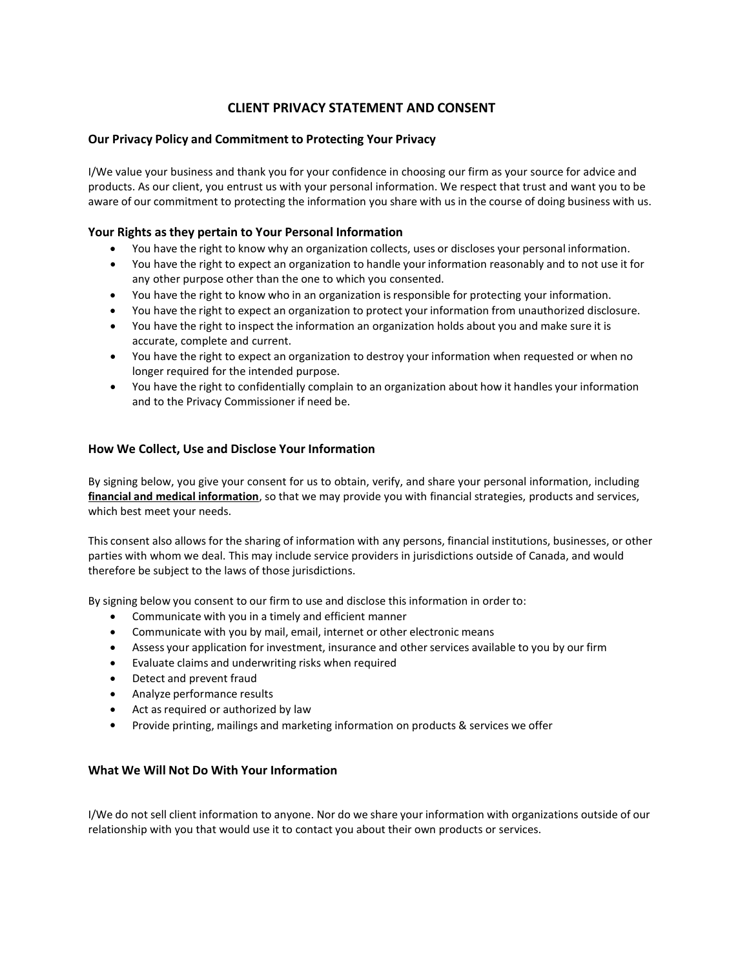# CLIENT PRIVACY STATEMENT AND CONSENT

### Our Privacy Policy and Commitment to Protecting Your Privacy

I/We value your business and thank you for your confidence in choosing our firm as your source for advice and products. As our client, you entrust us with your personal information. We respect that trust and want you to be aware of our commitment to protecting the information you share with us in the course of doing business with us.

# Your Rights as they pertain to Your Personal Information

- You have the right to know why an organization collects, uses or discloses your personal information.
- You have the right to expect an organization to handle your information reasonably and to not use it for any other purpose other than the one to which you consented.
- You have the right to know who in an organization is responsible for protecting your information.
- You have the right to expect an organization to protect your information from unauthorized disclosure.
- You have the right to inspect the information an organization holds about you and make sure it is accurate, complete and current.
- You have the right to expect an organization to destroy your information when requested or when no longer required for the intended purpose.
- You have the right to confidentially complain to an organization about how it handles your information and to the Privacy Commissioner if need be.

# How We Collect, Use and Disclose Your Information

By signing below, you give your consent for us to obtain, verify, and share your personal information, including financial and medical information, so that we may provide you with financial strategies, products and services, which best meet your needs.

This consent also allows for the sharing of information with any persons, financial institutions, businesses, or other parties with whom we deal. This may include service providers in jurisdictions outside of Canada, and would therefore be subject to the laws of those jurisdictions.

By signing below you consent to our firm to use and disclose this information in order to:

- Communicate with you in a timely and efficient manner
- Communicate with you by mail, email, internet or other electronic means
- Assess your application for investment, insurance and other services available to you by our firm
- Evaluate claims and underwriting risks when required
- Detect and prevent fraud
- Analyze performance results
- Act as required or authorized by law
- Provide printing, mailings and marketing information on products & services we offer

#### What We Will Not Do With Your Information

I/We do not sell client information to anyone. Nor do we share your information with organizations outside of our relationship with you that would use it to contact you about their own products or services.